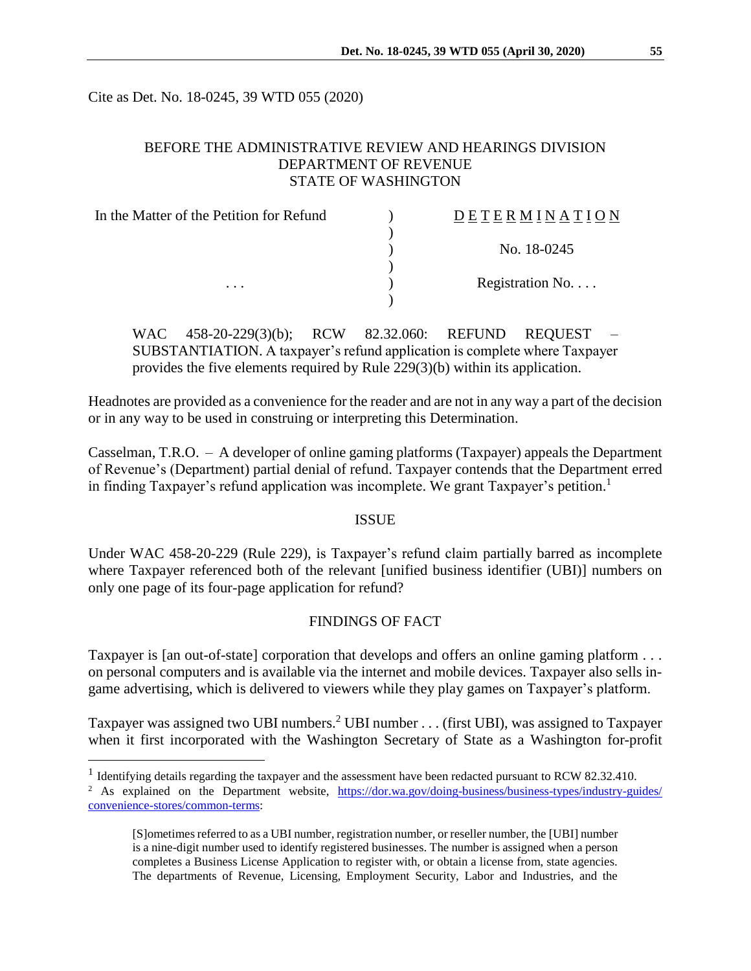Cite as Det. No. 18-0245, 39 WTD 055 (2020)

 $\overline{a}$ 

# BEFORE THE ADMINISTRATIVE REVIEW AND HEARINGS DIVISION DEPARTMENT OF REVENUE STATE OF WASHINGTON

| In the Matter of the Petition for Refund<br>. | <b>DETERMINATION</b> |
|-----------------------------------------------|----------------------|
|                                               |                      |
|                                               | No. 18-0245          |
|                                               | Registration No      |
|                                               |                      |

WAC 458-20-229(3)(b); RCW 82.32.060: REFUND REQUEST SUBSTANTIATION. A taxpayer's refund application is complete where Taxpayer provides the five elements required by Rule 229(3)(b) within its application.

Headnotes are provided as a convenience for the reader and are not in any way a part of the decision or in any way to be used in construing or interpreting this Determination.

Casselman, T.R.O. – A developer of online gaming platforms (Taxpayer) appeals the Department of Revenue's (Department) partial denial of refund. Taxpayer contends that the Department erred in finding Taxpayer's refund application was incomplete. We grant Taxpayer's petition.<sup>1</sup>

### ISSUE

Under WAC 458-20-229 (Rule 229), is Taxpayer's refund claim partially barred as incomplete where Taxpayer referenced both of the relevant [unified business identifier (UBI)] numbers on only one page of its four-page application for refund?

#### FINDINGS OF FACT

Taxpayer is [an out-of-state] corporation that develops and offers an online gaming platform . . . on personal computers and is available via the internet and mobile devices. Taxpayer also sells ingame advertising, which is delivered to viewers while they play games on Taxpayer's platform.

Taxpayer was assigned two UBI numbers.<sup>2</sup> UBI number . . . (first UBI), was assigned to Taxpayer when it first incorporated with the Washington Secretary of State as a Washington for-profit

<sup>&</sup>lt;sup>1</sup> Identifying details regarding the taxpayer and the assessment have been redacted pursuant to RCW 82.32.410.

<sup>&</sup>lt;sup>2</sup> As explained on the Department website, [https://dor.wa.gov/doing-business/business-types/industry-guides/](https://dor.wa.gov/doing-business/business-types/industry-guides/convenience-stores/common-terms) [convenience-stores/common-terms:](https://dor.wa.gov/doing-business/business-types/industry-guides/convenience-stores/common-terms)

<sup>[</sup>S]ometimes referred to as a UBI number, registration number, or reseller number, the [UBI] number is a nine-digit number used to identify registered businesses. The number is assigned when a person completes a Business License Application to register with, or obtain a license from, state agencies. The departments of Revenue, Licensing, Employment Security, Labor and Industries, and the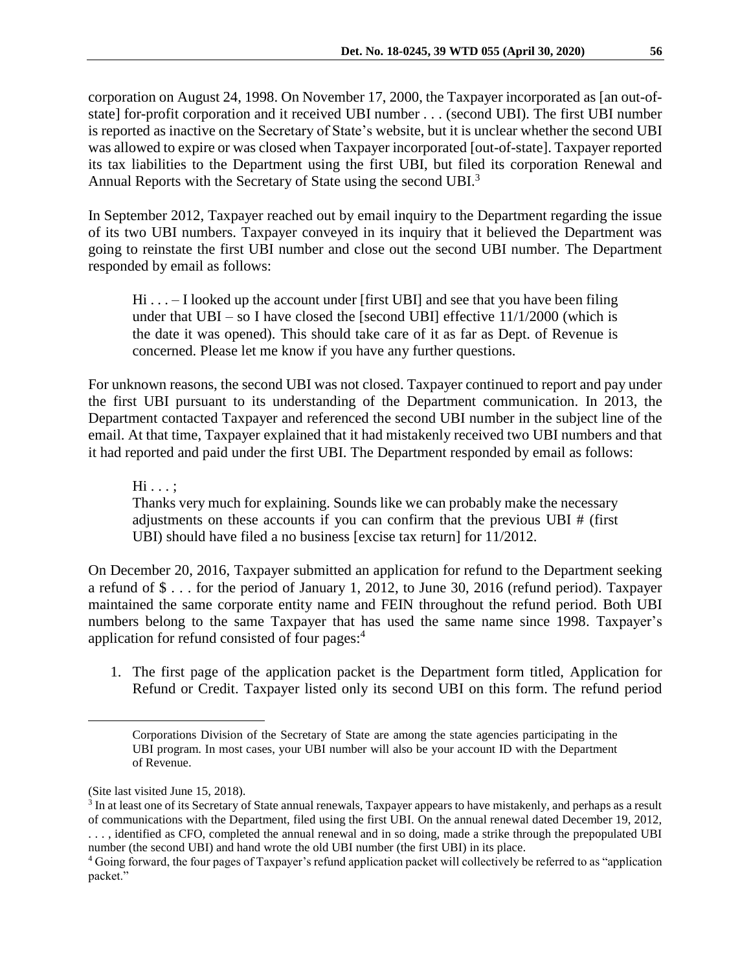corporation on August 24, 1998. On November 17, 2000, the Taxpayer incorporated as [an out-ofstate] for-profit corporation and it received UBI number . . . (second UBI). The first UBI number is reported as inactive on the Secretary of State's website, but it is unclear whether the second UBI was allowed to expire or was closed when Taxpayer incorporated [out-of-state]. Taxpayer reported its tax liabilities to the Department using the first UBI, but filed its corporation Renewal and Annual Reports with the Secretary of State using the second UBI.<sup>3</sup>

In September 2012, Taxpayer reached out by email inquiry to the Department regarding the issue of its two UBI numbers. Taxpayer conveyed in its inquiry that it believed the Department was going to reinstate the first UBI number and close out the second UBI number. The Department responded by email as follows:

Hi... – I looked up the account under [first UBI] and see that you have been filing under that  $UBI - so I$  have closed the [second UBI] effective  $11/1/2000$  (which is the date it was opened). This should take care of it as far as Dept. of Revenue is concerned. Please let me know if you have any further questions.

For unknown reasons, the second UBI was not closed. Taxpayer continued to report and pay under the first UBI pursuant to its understanding of the Department communication. In 2013, the Department contacted Taxpayer and referenced the second UBI number in the subject line of the email. At that time, Taxpayer explained that it had mistakenly received two UBI numbers and that it had reported and paid under the first UBI. The Department responded by email as follows:

Hi . . . ;

Thanks very much for explaining. Sounds like we can probably make the necessary adjustments on these accounts if you can confirm that the previous UBI # (first UBI) should have filed a no business [excise tax return] for 11/2012.

On December 20, 2016, Taxpayer submitted an application for refund to the Department seeking a refund of \$ . . . for the period of January 1, 2012, to June 30, 2016 (refund period). Taxpayer maintained the same corporate entity name and FEIN throughout the refund period. Both UBI numbers belong to the same Taxpayer that has used the same name since 1998. Taxpayer's application for refund consisted of four pages: 4

1. The first page of the application packet is the Department form titled, Application for Refund or Credit. Taxpayer listed only its second UBI on this form. The refund period

 $\overline{a}$ 

Corporations Division of the Secretary of State are among the state agencies participating in the UBI program. In most cases, your UBI number will also be your account ID with the Department of Revenue.

<sup>(</sup>Site last visited June 15, 2018).

<sup>&</sup>lt;sup>3</sup> In at least one of its Secretary of State annual renewals, Taxpayer appears to have mistakenly, and perhaps as a result of communications with the Department, filed using the first UBI. On the annual renewal dated December 19, 2012, . . . , identified as CFO, completed the annual renewal and in so doing, made a strike through the prepopulated UBI number (the second UBI) and hand wrote the old UBI number (the first UBI) in its place.

<sup>4</sup> Going forward, the four pages of Taxpayer's refund application packet will collectively be referred to as "application packet."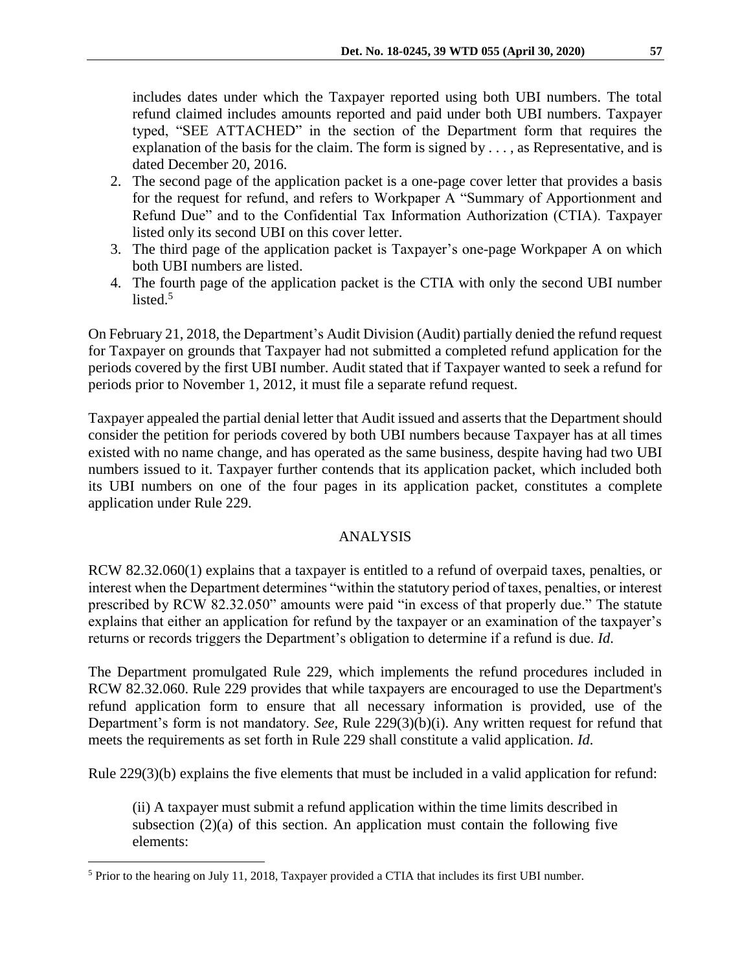includes dates under which the Taxpayer reported using both UBI numbers. The total refund claimed includes amounts reported and paid under both UBI numbers. Taxpayer typed, "SEE ATTACHED" in the section of the Department form that requires the explanation of the basis for the claim. The form is signed by . . . , as Representative, and is dated December 20, 2016.

- 2. The second page of the application packet is a one-page cover letter that provides a basis for the request for refund, and refers to Workpaper A "Summary of Apportionment and Refund Due" and to the Confidential Tax Information Authorization (CTIA). Taxpayer listed only its second UBI on this cover letter.
- 3. The third page of the application packet is Taxpayer's one-page Workpaper A on which both UBI numbers are listed.
- 4. The fourth page of the application packet is the CTIA with only the second UBI number listed.<sup>5</sup>

On February 21, 2018, the Department's Audit Division (Audit) partially denied the refund request for Taxpayer on grounds that Taxpayer had not submitted a completed refund application for the periods covered by the first UBI number. Audit stated that if Taxpayer wanted to seek a refund for periods prior to November 1, 2012, it must file a separate refund request.

Taxpayer appealed the partial denial letter that Audit issued and asserts that the Department should consider the petition for periods covered by both UBI numbers because Taxpayer has at all times existed with no name change, and has operated as the same business, despite having had two UBI numbers issued to it. Taxpayer further contends that its application packet, which included both its UBI numbers on one of the four pages in its application packet, constitutes a complete application under Rule 229.

## ANALYSIS

RCW 82.32.060(1) explains that a taxpayer is entitled to a refund of overpaid taxes, penalties, or interest when the Department determines "within the statutory period of taxes, penalties, or interest prescribed by RCW 82.32.050" amounts were paid "in excess of that properly due." The statute explains that either an application for refund by the taxpayer or an examination of the taxpayer's returns or records triggers the Department's obligation to determine if a refund is due. *Id*.

The Department promulgated Rule 229, which implements the refund procedures included in RCW 82.32.060. Rule 229 provides that while taxpayers are encouraged to use the Department's refund application form to ensure that all necessary information is provided, use of the Department's form is not mandatory. *See,* Rule 229(3)(b)(i). Any written request for refund that meets the requirements as set forth in Rule 229 shall constitute a valid application. *Id*.

Rule 229(3)(b) explains the five elements that must be included in a valid application for refund:

(ii) A taxpayer must submit a refund application within the time limits described in subsection  $(2)(a)$  of this section. An application must contain the following five elements:

 $\overline{a}$ 

<sup>5</sup> Prior to the hearing on July 11, 2018, Taxpayer provided a CTIA that includes its first UBI number.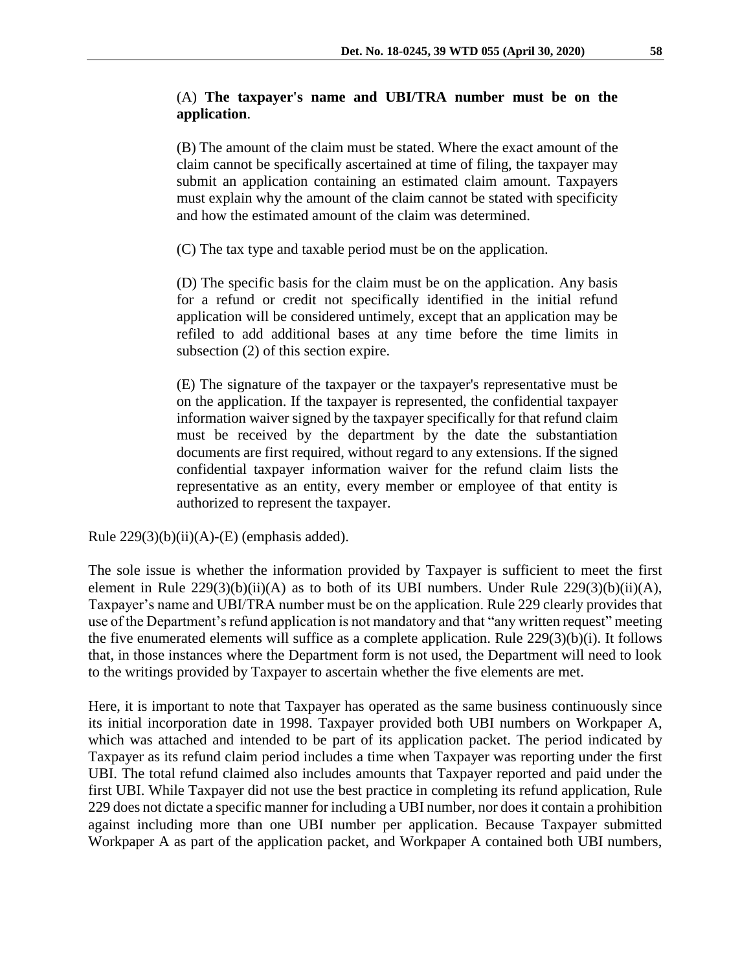## (A) **The taxpayer's name and UBI/TRA number must be on the application**.

(B) The amount of the claim must be stated. Where the exact amount of the claim cannot be specifically ascertained at time of filing, the taxpayer may submit an application containing an estimated claim amount. Taxpayers must explain why the amount of the claim cannot be stated with specificity and how the estimated amount of the claim was determined.

(C) The tax type and taxable period must be on the application.

(D) The specific basis for the claim must be on the application. Any basis for a refund or credit not specifically identified in the initial refund application will be considered untimely, except that an application may be refiled to add additional bases at any time before the time limits in subsection (2) of this section expire.

(E) The signature of the taxpayer or the taxpayer's representative must be on the application. If the taxpayer is represented, the confidential taxpayer information waiver signed by the taxpayer specifically for that refund claim must be received by the department by the date the substantiation documents are first required, without regard to any extensions. If the signed confidential taxpayer information waiver for the refund claim lists the representative as an entity, every member or employee of that entity is authorized to represent the taxpayer.

Rule  $229(3)(b)(ii)(A)-(E)$  (emphasis added).

The sole issue is whether the information provided by Taxpayer is sufficient to meet the first element in Rule  $229(3)(b)(ii)(A)$  as to both of its UBI numbers. Under Rule  $229(3)(b)(ii)(A)$ , Taxpayer's name and UBI/TRA number must be on the application. Rule 229 clearly provides that use of the Department's refund application is not mandatory and that "any written request" meeting the five enumerated elements will suffice as a complete application. Rule 229(3)(b)(i). It follows that, in those instances where the Department form is not used, the Department will need to look to the writings provided by Taxpayer to ascertain whether the five elements are met.

Here, it is important to note that Taxpayer has operated as the same business continuously since its initial incorporation date in 1998. Taxpayer provided both UBI numbers on Workpaper A, which was attached and intended to be part of its application packet. The period indicated by Taxpayer as its refund claim period includes a time when Taxpayer was reporting under the first UBI. The total refund claimed also includes amounts that Taxpayer reported and paid under the first UBI. While Taxpayer did not use the best practice in completing its refund application, Rule 229 does not dictate a specific manner for including a UBI number, nor does it contain a prohibition against including more than one UBI number per application. Because Taxpayer submitted Workpaper A as part of the application packet, and Workpaper A contained both UBI numbers,